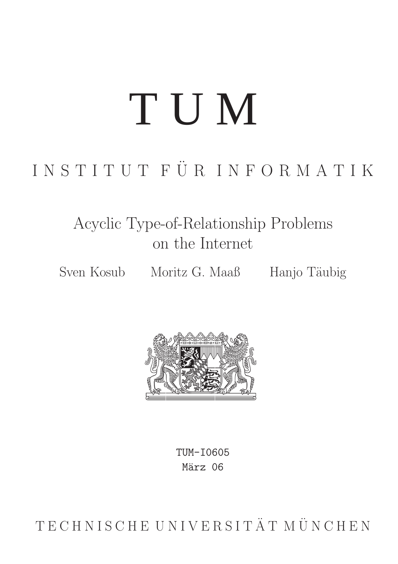# T U M

# I N S T I T U T F Ü R I N F O R M A T I K

# Acyclic Type-of-Relationship Problems on the Internet

Sven Kosub Moritz G. Maaß Hanjo Täubig



TUM-I0605 März 06

TECHNISCHE UNIVERSITÄT MÜNCHEN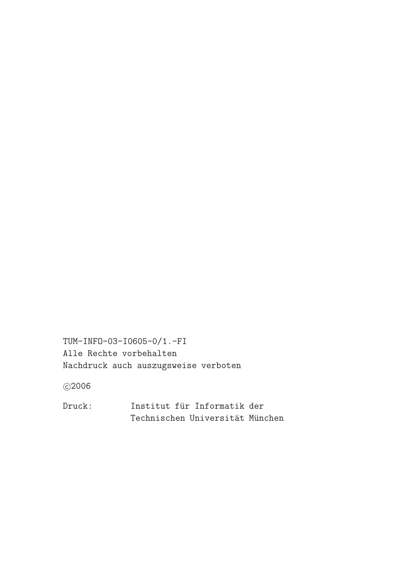TUM-INFO-03-I0605-0/1.-FI Alle Rechte vorbehalten Nachdruck auch auszugsweise verboten

c 2006

Druck: Institut für Informatik der Technischen Universität München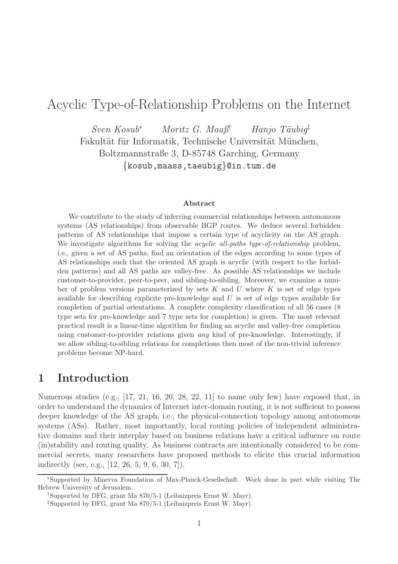# Acyclic Type-of-Relationship Problems on the Internet

 $Sven Kosub^*$  Moritz G. Maaß<sup>†</sup> Hanjo Täubig<sup>‡</sup> Fakultät für Informatik, Technische Universität München, Boltzmannstraße 3, D-85748 Garching, Germany {kosub,maass,taeubig}@in.tum.de

#### Abstract

We contribute to the study of inferring commercial relationships between autonomous systems (AS relationships) from observable BGP routes. We deduce several forbidden patterns of AS relationships that impose a certain type of acyclicity on the AS graph. We investigate algorithms for solving the *acyclic all-paths type-of-relationship* problem, i.e., given a set of AS paths, find an orientation of the edges according to some types of AS relationships such that the oriented AS graph is acyclic (with respect to the forbidden patterns) and all AS paths are valley-free. As possible AS relationships we include customer-to-provider, peer-to-peer, and sibling-to-sibling. Moreover, we examine a number of problem versions parameterized by sets  $K$  and  $U$  where  $K$  is set of edge types available for describing explicite pre-knowledge and U is set of edge types available for completion of partial orientations. A complete complexity classification of all 56 cases (8 type sets for pre-knowledge and 7 type sets for completion) is given. The most relevant practical result is a linear-time algorithm for finding an acyclic and valley-free completion using customer-to-provider relations given any kind of pre-knowledge. Interestingly, if we allow sibling-to-sibling relations for completions then most of the non-trivial inference problems become NP-hard.

### 1 Introduction

Numerous studies (e.g., [17, 21, 16, 20, 28, 22, 11] to name only few) have exposed that, in order to understand the dynamics of Internet inter-domain routing, it is not sufficient to possess deeper knowledge of the AS graph, i.e., the physical-connection topology among autonomous systems (ASs). Rather, most importantly, local routing policies of independent administrative domains and their interplay based on business relations have a critical influence on route (in)stability and routing quality. As business contracts are intentionally considered to be commercial secrets, many researchers have proposed methods to elicite this crucial information indirectly (see, e.g., [12, 26, 5, 9, 6, 30, 7]).

<sup>∗</sup>Supported by Minerva Foundation of Max-Planck-Gesellschaft. Work done in part while visiting The Hebrew University of Jerusalem.

<sup>†</sup>Supported by DFG, grant Ma 870/5-1 (Leibnizpreis Ernst W. Mayr).

<sup>‡</sup>Supported by DFG, grant Ma 870/5-1 (Leibnizpreis Ernst W. Mayr).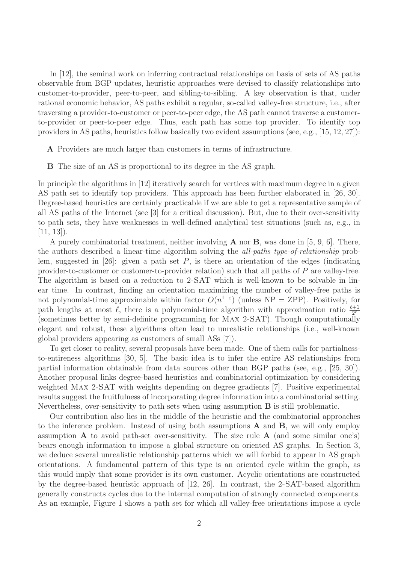In [12], the seminal work on inferring contractual relationships on basis of sets of AS paths observable from BGP updates, heuristic approaches were devised to classify relationships into customer-to-provider, peer-to-peer, and sibling-to-sibling. A key observation is that, under rational economic behavior, AS paths exhibit a regular, so-called valley-free structure, i.e., after traversing a provider-to-customer or peer-to-peer edge, the AS path cannot traverse a customerto-provider or peer-to-peer edge. Thus, each path has some top provider. To identify top providers in AS paths, heuristics follow basically two evident assumptions (see, e.g., [15, 12, 27]):

- A Providers are much larger than customers in terms of infrastructure.
- B The size of an AS is proportional to its degree in the AS graph.

In principle the algorithms in [12] iteratively search for vertices with maximum degree in a given AS path set to identify top providers. This approach has been further elaborated in [26, 30]. Degree-based heuristics are certainly practicable if we are able to get a representative sample of all AS paths of the Internet (see [3] for a critical discussion). But, due to their over-sensitivity to path sets, they have weaknesses in well-defined analytical test situations (such as, e.g., in  $[11, 13]$ .

A purely combinatorial treatment, neither involving A nor B, was done in [5, 9, 6]. There, the authors described a linear-time algorithm solving the all-paths type-of-relationship problem, suggested in [26]: given a path set  $P$ , is there an orientation of the edges (indicating provider-to-customer or customer-to-provider relation) such that all paths of P are valley-free. The algorithm is based on a reduction to 2-SAT which is well-known to be solvable in linear time. In contrast, finding an orientation maximizing the number of valley-free paths is not polynomial-time approximable within factor  $O(n^{1-\epsilon})$  (unless NP = ZPP). Positively, for path lengths at most  $\ell$ , there is a polynomial-time algorithm with approximation ratio  $\frac{\ell+1}{2^{\ell}}$ (sometimes better by semi-definite programming for Max 2-SAT). Though computationally elegant and robust, these algorithms often lead to unrealistic relationships (i.e., well-known global providers appearing as customers of small ASs [7]).

To get closer to reality, several proposals have been made. One of them calls for partialnessto-entireness algorithms [30, 5]. The basic idea is to infer the entire AS relationships from partial information obtainable from data sources other than BGP paths (see, e.g., [25, 30]). Another proposal links degree-based heuristics and combinatorial optimization by considering weighted Max 2-SAT with weights depending on degree gradients [7]. Positive experimental results suggest the fruitfulness of incorporating degree information into a combinatorial setting. Nevertheless, over-sensitivity to path sets when using assumption B is still problematic.

Our contribution also lies in the middle of the heuristic and the combinatorial approaches to the inference problem. Instead of using both assumptions  $A$  and  $B$ , we will only employ assumption  $\bf{A}$  to avoid path-set over-sensitivity. The size rule  $\bf{A}$  (and some similar one's) bears enough information to impose a global structure on oriented AS graphs. In Section 3, we deduce several unrealistic relationship patterns which we will forbid to appear in AS graph orientations. A fundamental pattern of this type is an oriented cycle within the graph, as this would imply that some provider is its own customer. Acyclic orientations are constructed by the degree-based heuristic approach of [12, 26]. In contrast, the 2-SAT-based algorithm generally constructs cycles due to the internal computation of strongly connected components. As an example, Figure 1 shows a path set for which all valley-free orientations impose a cycle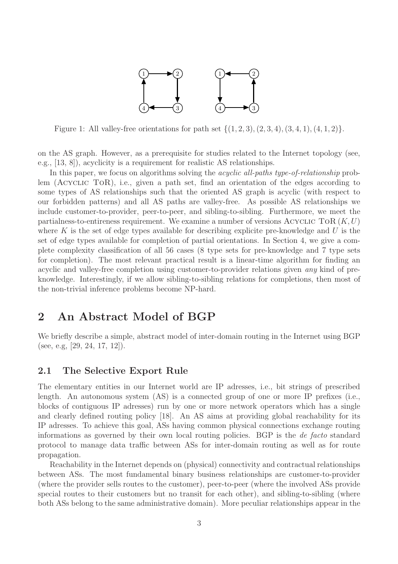

Figure 1: All valley-free orientations for path set  $\{(1, 2, 3), (2, 3, 4), (3, 4, 1), (4, 1, 2)\}.$ 

on the AS graph. However, as a prerequisite for studies related to the Internet topology (see, e.g., [13, 8]), acyclicity is a requirement for realistic AS relationships.

In this paper, we focus on algorithms solving the *acyclic all-paths type-of-relationship* problem (ACYCLIC TOR), i.e., given a path set, find an orientation of the edges according to some types of AS relationships such that the oriented AS graph is acyclic (with respect to our forbidden patterns) and all AS paths are valley-free. As possible AS relationships we include customer-to-provider, peer-to-peer, and sibling-to-sibling. Furthermore, we meet the partialness-to-entireness requirement. We examine a number of versions ACYCLIC TOR  $(K, U)$ where K is the set of edge types available for describing explicite pre-knowledge and U is the set of edge types available for completion of partial orientations. In Section 4, we give a complete complexity classification of all 56 cases (8 type sets for pre-knowledge and 7 type sets for completion). The most relevant practical result is a linear-time algorithm for finding an acyclic and valley-free completion using customer-to-provider relations given any kind of preknowledge. Interestingly, if we allow sibling-to-sibling relations for completions, then most of the non-trivial inference problems become NP-hard.

# 2 An Abstract Model of BGP

We briefly describe a simple, abstract model of inter-domain routing in the Internet using BGP (see, e.g, [29, 24, 17, 12]).

#### 2.1 The Selective Export Rule

The elementary entities in our Internet world are IP adresses, i.e., bit strings of prescribed length. An autonomous system (AS) is a connected group of one or more IP prefixes (i.e., blocks of contiguous IP adresses) run by one or more network operators which has a single and clearly defined routing policy [18]. An AS aims at providing global reachability for its IP adresses. To achieve this goal, ASs having common physical connections exchange routing informations as governed by their own local routing policies. BGP is the de facto standard protocol to manage data traffic between ASs for inter-domain routing as well as for route propagation.

Reachability in the Internet depends on (physical) connectivity and contractual relationships between ASs. The most fundamental binary business relationships are customer-to-provider (where the provider sells routes to the customer), peer-to-peer (where the involved ASs provide special routes to their customers but no transit for each other), and sibling-to-sibling (where both ASs belong to the same administrative domain). More peculiar relationships appear in the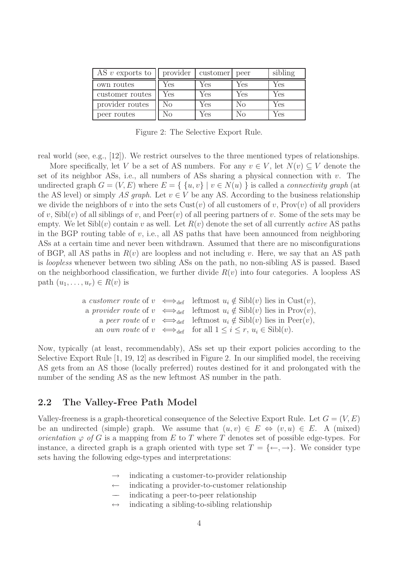| AS $v$ exports to | provider | customer | peer | sibling |
|-------------------|----------|----------|------|---------|
| own routes        | Yes      | Yes      | Yes  | Yes     |
| customer routes   | Yes      | Yes      | Yes  | Yes     |
| provider routes   | Nο       | Yes      | Nο   | Yes     |
| peer routes       | Ν∩       | Yes      | ∖∩   | Yes     |

Figure 2: The Selective Export Rule.

real world (see, e.g., [12]). We restrict ourselves to the three mentioned types of relationships.

More specifically, let V be a set of AS numbers. For any  $v \in V$ , let  $N(v) \subseteq V$  denote the set of its neighbor ASs, i.e., all numbers of ASs sharing a physical connection with  $v$ . The undirected graph  $G = (V, E)$  where  $E = \{ \{u, v\} \mid v \in N(u) \}$  is called a *connectivity graph* (at the AS level) or simply AS graph. Let  $v \in V$  be any AS. According to the business relationship we divide the neighbors of v into the sets Cust(v) of all customers of v,  $Prov(v)$  of all providers of v,  $\text{Sibl}(v)$  of all siblings of v, and  $\text{Peer}(v)$  of all peering partners of v. Some of the sets may be empty. We let  $\text{Sibl}(v)$  contain v as well. Let  $R(v)$  denote the set of all currently *active* AS paths in the BGP routing table of  $v$ , i.e., all AS paths that have been announced from neighboring ASs at a certain time and never been withdrawn. Assumed that there are no misconfigurations of BGP, all AS paths in  $R(v)$  are loopless and not including v. Here, we say that an AS path is loopless whenever between two sibling ASs on the path, no non-sibling AS is passed. Based on the neighborhood classification, we further divide  $R(v)$  into four categories. A loopless AS path  $(u_1, \ldots, u_r) \in R(v)$  is

> a customer route of  $v \iff_{def}$  leftmost  $u_i \notin Sub(v)$  lies in  $Cust(v)$ , a provider route of  $v \iff_{def}$  leftmost  $u_i \notin \text{Sibl}(v)$  lies in Prov $(v)$ , a peer route of  $v \iff_{def}$  leftmost  $u_i \notin Sub(v)$  lies in  $Peer(v)$ , an own route of  $v \iff_{def}$  for all  $1 \leq i \leq r$ ,  $u_i \in \text{Sibl}(v)$ .

Now, typically (at least, recommendably), ASs set up their export policies according to the Selective Export Rule [1, 19, 12] as described in Figure 2. In our simplified model, the receiving AS gets from an AS those (locally preferred) routes destined for it and prolongated with the number of the sending AS as the new leftmost AS number in the path.

#### 2.2 The Valley-Free Path Model

Valley-freeness is a graph-theoretical consequence of the Selective Export Rule. Let  $G = (V, E)$ be an undirected (simple) graph. We assume that  $(u, v) \in E \Leftrightarrow (v, u) \in E$ . A (mixed) orientation  $\varphi$  of G is a mapping from E to T where T denotes set of possible edge-types. For instance, a directed graph is a graph oriented with type set  $T = \{ \leftarrow, \rightarrow \}$ . We consider type sets having the following edge-types and interpretations:

- $\rightarrow$  indicating a customer-to-provider relationship
- $\leftarrow$  indicating a provider-to-customer relationship
- −− indicating a peer-to-peer relationship
- $\leftrightarrow$  indicating a sibling-to-sibling relationship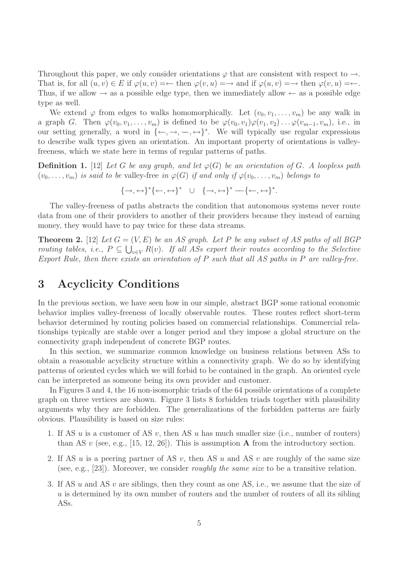Throughout this paper, we only consider orientations  $\varphi$  that are consistent with respect to  $\rightarrow$ . That is, for all  $(u, v) \in E$  if  $\varphi(u, v) = \leftarrow$  then  $\varphi(v, u) = \rightarrow$  and if  $\varphi(u, v) = \rightarrow$  then  $\varphi(v, u) = \leftarrow$ . Thus, if we allow  $\rightarrow$  as a possible edge type, then we immediately allow  $\leftarrow$  as a possible edge type as well.

We extend  $\varphi$  from edges to walks homomorphically. Let  $(v_0, v_1, \ldots, v_m)$  be any walk in a graph G. Then  $\varphi(v_0, v_1, \ldots, v_m)$  is defined to be  $\varphi(v_0, v_1)\varphi(v_1, v_2)\ldots\varphi(v_{m-1}, v_m)$ , i.e., in our setting generally, a word in  $\{\leftarrow, \rightarrow, \leftarrow, \leftrightarrow\}^*$ . We will typically use regular expressions to describe walk types given an orientation. An important property of orientations is valleyfreeness, which we state here in terms of regular patterns of paths.

**Definition 1.** [12] Let G be any graph, and let  $\varphi(G)$  be an orientation of G. A loopless path  $(v_0, \ldots, v_m)$  is said to be valley-free in  $\varphi(G)$  if and only if  $\varphi(v_0, \ldots, v_m)$  belongs to

 ${\{\rightarrow,\leftrightarrow\}}^*{\{\leftarrow,\leftrightarrow\}}^*$  U  ${\{\rightarrow,\leftrightarrow\}}^*$   ${\qquad} {\{\leftarrow,\leftrightarrow\}}^*.$ 

The valley-freeness of paths abstracts the condition that autonomous systems never route data from one of their providers to another of their providers because they instead of earning money, they would have to pay twice for these data streams.

**Theorem 2.** [12] Let  $G = (V, E)$  be an AS graph. Let P be any subset of AS paths of all BGP routing tables, i.e.,  $P \subseteq \bigcup_{v \in V} R(v)$ . If all ASs export their routes according to the Selective Export Rule, then there exists an orientation of P such that all AS paths in P are valley-free.

# 3 Acyclicity Conditions

In the previous section, we have seen how in our simple, abstract BGP some rational economic behavior implies valley-freeness of locally observable routes. These routes reflect short-term behavior determined by routing policies based on commercial relationships. Commercial relationships typically are stable over a longer period and they impose a global structure on the connectivity graph independent of concrete BGP routes.

In this section, we summarize common knowledge on business relations between ASs to obtain a reasonable acyclicity structure within a connectivity graph. We do so by identifying patterns of oriented cycles which we will forbid to be contained in the graph. An oriented cycle can be interpreted as someone being its own provider and customer.

In Figures 3 and 4, the 16 non-isomorphic triads of the 64 possible orientations of a complete graph on three vertices are shown. Figure 3 lists 8 forbidden triads together with plausibility arguments why they are forbidden. The generalizations of the forbidden patterns are fairly obvious. Plausibility is based on size rules:

- 1. If AS u is a customer of AS v, then AS u has much smaller size (i.e., number of routers) than AS v (see, e.g., [15, 12, 26]). This is assumption **A** from the introductory section.
- 2. If AS u is a peering partner of AS v, then AS u and AS v are roughly of the same size (see, e.g., [23]). Moreover, we consider roughly the same size to be a transitive relation.
- 3. If AS u and AS v are siblings, then they count as one AS, i.e., we assume that the size of u is determined by its own number of routers and the number of routers of all its sibling ASs.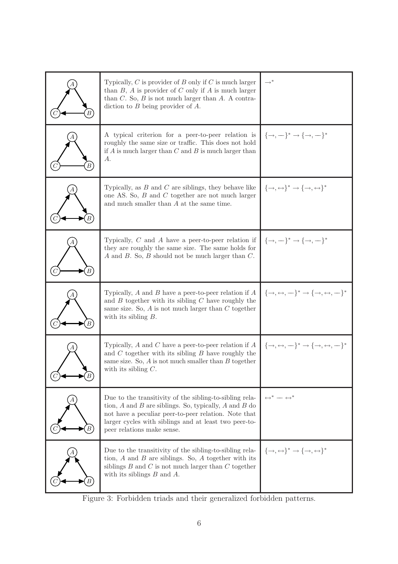| Typically, $C$ is provider of $B$ only if $C$ is much larger<br>than $B$ , $A$ is provider of $C$ only if $A$ is much larger<br>than $C$ . So, $B$ is not much larger than $A$ . A contra-<br>diction to $B$ being provider of $A$ .                                    |                                                                                                       |
|-------------------------------------------------------------------------------------------------------------------------------------------------------------------------------------------------------------------------------------------------------------------------|-------------------------------------------------------------------------------------------------------|
| A typical criterion for a peer-to-peer relation is<br>roughly the same size or traffic. This does not hold<br>if $A$ is much larger than $C$ and $B$ is much larger than<br>А.                                                                                          | $\{\rightarrow, -\}^* \rightarrow \{\rightarrow, -\}^*$                                               |
| Typically, as $B$ and $C$ are siblings, they behave like<br>one AS. So, $B$ and $C$ together are not much larger<br>and much smaller than $A$ at the same time.                                                                                                         | $\{\rightarrow, \leftrightarrow\}^* \rightarrow \{\rightarrow, \leftrightarrow\}^*$                   |
| Typically, $C$ and $A$ have a peer-to-peer relation if<br>they are roughly the same size. The same holds for<br>$A$ and $B$ . So, $B$ should not be much larger than $C$ .                                                                                              | $\{\rightarrow, -\}^* \rightarrow \{\rightarrow, -\}^*$                                               |
| Typically, $A$ and $B$ have a peer-to-peer relation if $A$<br>and $B$ together with its sibling $C$ have roughly the<br>same size. So, $A$ is not much larger than $C$ together<br>with its sibling $B$ .                                                               | $\{\rightarrow,\leftrightarrow,\leftarrow\}^*\rightarrow\{\rightarrow,\leftrightarrow,\leftarrow\}^*$ |
| Typically, $A$ and $C$ have a peer-to-peer relation if $A$<br>and $C$ together with its sibling $B$ have roughly the<br>same size. So, $A$ is not much smaller than $B$ together<br>with its sibling $C$ .                                                              | $\{\rightarrow, \leftrightarrow, -\}^* \rightarrow \{\rightarrow, \leftrightarrow, -\}^*$             |
| Due to the transitivity of the sibling-to-sibling rela-<br>tion, $A$ and $B$ are siblings. So, typically, $A$ and $B$ do<br>not have a peculiar peer-to-peer relation. Note that<br>larger cycles with siblings and at least two peer-to-<br>peer relations make sense. | $\leftrightarrow^* \text{---} \leftrightarrow^*$                                                      |
| Due to the transitivity of the sibling-to-sibling rela-<br>tion, $A$ and $B$ are siblings. So, $A$ together with its<br>siblings $B$ and $C$ is not much larger than $C$ together<br>with its siblings $B$ and $A$ .                                                    | $\{\rightarrow, \leftrightarrow\}^* \rightarrow \{\rightarrow, \leftrightarrow\}^*$                   |

Figure 3: Forbidden triads and their generalized forbidden patterns.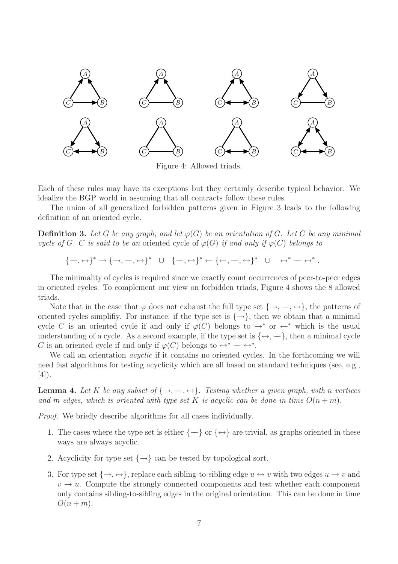

Figure 4: Allowed triads.

Each of these rules may have its exceptions but they certainly describe typical behavior. We idealize the BGP world in assuming that all contracts follow these rules.

The union of all generalized forbidden patterns given in Figure 3 leads to the following definition of an oriented cycle.

**Definition 3.** Let G be any graph, and let  $\varphi(G)$  be an orientation of G. Let C be any minimal cycle of G. C is said to be an oriented cycle of  $\varphi(G)$  if and only if  $\varphi(C)$  belongs to

 ${-, \leftrightarrow}^* \rightarrow {\rightarrow, -, \leftrightarrow}^* \cup {\{-, \leftrightarrow}^* \leftarrow {\left\langle\leftarrow, -, \leftrightarrow\right\rangle^*} \cup \leftrightarrow^* - \leftrightarrow^*.$ 

The minimality of cycles is required since we exactly count occurrences of peer-to-peer edges in oriented cycles. To complement our view on forbidden triads, Figure 4 shows the 8 allowed triads.

Note that in the case that  $\varphi$  does not exhaust the full type set  $\{\rightarrow, \leftarrow, \leftrightarrow\}$ , the patterns of oriented cycles simplifiy. For instance, if the type set is  $\{\rightarrow\}$ , then we obtain that a minimal cycle C is an oriented cycle if and only if  $\varphi(C)$  belongs to  $\rightarrow^*$  or  $\leftarrow^*$  which is the usual understanding of a cycle. As a second example, if the type set is  $\{\leftrightarrow, -\}$ , then a minimal cycle C is an oriented cycle if and only if  $\varphi(C)$  belongs to  $\leftrightarrow^*$  –  $\leftrightarrow^*$ .

We call an orientation *acyclic* if it contains no oriented cycles. In the forthcoming we will need fast algorithms for testing acyclicity which are all based on standard techniques (see, e.g., [4]).

**Lemma 4.** Let K be any subset of  $\{\rightarrow, -, \leftrightarrow\}$ . Testing whether a given graph, with n vertices and m edges, which is oriented with type set K is acyclic can be done in time  $O(n+m)$ .

Proof. We briefly describe algorithms for all cases individually.

- 1. The cases where the type set is either  $\{-\}$  or  $\{\leftrightarrow\}$  are trivial, as graphs oriented in these ways are always acyclic.
- 2. Acyclicity for type set  $\{\rightarrow\}$  can be tested by topological sort.
- 3. For type set  $\{\rightarrow, \leftrightarrow\}$ , replace each sibling-to-sibling edge  $u \leftrightarrow v$  with two edges  $u \rightarrow v$  and  $v \rightarrow u$ . Compute the strongly connected components and test whether each component only contains sibling-to-sibling edges in the original orientation. This can be done in time  $O(n+m)$ .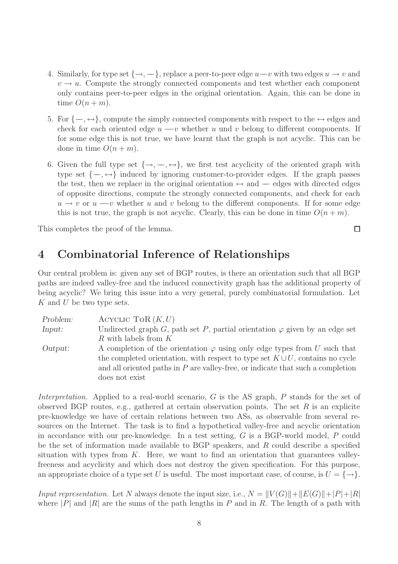- 4. Similarly, for type set  $\{\rightarrow, -\}$ , replace a peer-to-peer edge  $u-v$  with two edges  $u \rightarrow v$  and  $v \rightarrow u$ . Compute the strongly connected components and test whether each component only contains peer-to-peer edges in the original orientation. Again, this can be done in time  $O(n+m)$ .
- 5. For  $\{-,\leftrightarrow\}$ , compute the simply connected components with respect to the  $\leftrightarrow$  edges and check for each oriented edge  $u \rightarrow v$  whether u und v belong to different components. If for some edge this is not true, we have learnt that the graph is not acyclic. This can be done in time  $O(n+m)$ .
- 6. Given the full type set  $\{\rightarrow, -, \leftrightarrow\}$ , we first test acyclicity of the oriented graph with type set  $\{-,\leftrightarrow\}$  induced by ignoring customer-to-provider edges. If the graph passes the test, then we replace in the original orientation  $\leftrightarrow$  and  $-$  edges with directed edges of opposite directions, compute the strongly connected components, and check for each  $u \to v$  or  $u \to v$  whether u and v belong to the different components. If for some edge this is not true, the graph is not acyclic. Clearly, this can be done in time  $O(n + m)$ .

This completes the proof of the lemma.

# 4 Combinatorial Inference of Relationships

Our central problem is: given any set of BGP routes, is there an orientation such that all BGP paths are indeed valley-free and the induced connectivity graph has the additional property of being acyclic? We bring this issue into a very general, purely combinatorial formulation. Let K and U be two type sets.

| Problem: | ACYCLIC TOR $(K, U)$                                                               |
|----------|------------------------------------------------------------------------------------|
| Input:   | Undirected graph G, path set P, partial orientation $\varphi$ given by an edge set |
|          | $R$ with labels from $K$                                                           |
| Output:  | A completion of the orientation $\varphi$ using only edge types from U such that   |
|          | the completed orientation, with respect to type set $K \cup U$ , contains no cycle |
|          | and all oriented paths in $P$ are valley-free, or indicate that such a completion  |
|          | does not exist                                                                     |

Interpretation. Applied to a real-world scenario, G is the AS graph, P stands for the set of observed BGP routes, e.g., gathered at certain observation points. The set R is an explicite pre-knowledge we have of certain relations between two ASs, as observable from several resources on the Internet. The task is to find a hypothetical valley-free and acyclic orientation in accordance with our pre-knowledge. In a test setting, G is a BGP-world model, P could be the set of information made available to BGP speakers, and R could describe a specified situation with types from  $K$ . Here, we want to find an orientation that guarantees valleyfreeness and acyclicity and which does not destroy the given specification. For this purpose, an appropriate choice of a type set U is useful. The most important case, of course, is  $U = \{ \rightarrow \}.$ 

Input representation. Let N always denote the input size, i.e.,  $N = ||V(G)|| + ||E(G)|| + |P| + |R|$ where |P| and |R| are the sums of the path lengths in P and in R. The length of a path with

 $\Box$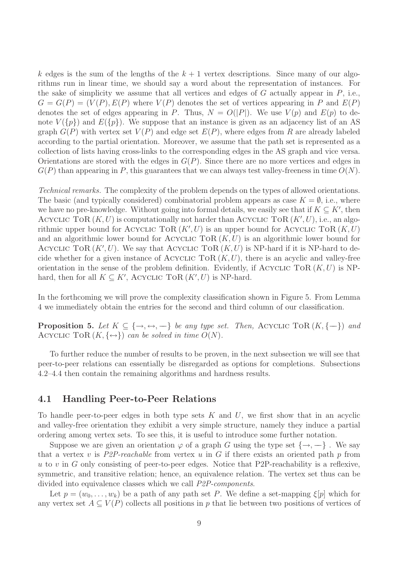k edges is the sum of the lengths of the  $k + 1$  vertex descriptions. Since many of our algorithms run in linear time, we should say a word about the representation of instances. For the sake of simplicity we assume that all vertices and edges of  $G$  actually appear in  $P$ , i.e.,  $G = G(P) = (V(P), E(P))$  where  $V(P)$  denotes the set of vertices appearing in P and  $E(P)$ denotes the set of edges appearing in P. Thus,  $N = O(|P|)$ . We use  $V(p)$  and  $E(p)$  to denote  $V({p})$  and  $E({p})$ . We suppose that an instance is given as an adjacency list of an AS graph  $G(P)$  with vertex set  $V(P)$  and edge set  $E(P)$ , where edges from R are already labeled according to the partial orientation. Moreover, we assume that the path set is represented as a collection of lists having cross-links to the corresponding edges in the AS graph and vice versa. Orientations are stored with the edges in  $G(P)$ . Since there are no more vertices and edges in  $G(P)$  than appearing in P, this guarantees that we can always test valley-freeness in time  $O(N)$ .

Technical remarks. The complexity of the problem depends on the types of allowed orientations. The basic (and typically considered) combinatorial problem appears as case  $K = \emptyset$ , i.e., where we have no pre-knowledge. Without going into formal details, we easily see that if  $K \subseteq K'$ , then ACYCLIC TOR  $(K, U)$  is computationally not harder than ACYCLIC TOR  $(K', U)$ , i.e., an algorithmic upper bound for ACYCLIC TOR  $(K', U)$  is an upper bound for ACYCLIC TOR  $(K, U)$ and an algorithmic lower bound for ACYCLIC TOR  $(K, U)$  is an algorithmic lower bound for ACYCLIC TOR  $(K', U)$ . We say that ACYCLIC TOR  $(K, U)$  is NP-hard if it is NP-hard to decide whether for a given instance of ACYCLIC TOR  $(K, U)$ , there is an acyclic and valley-free orientation in the sense of the problem definition. Evidently, if ACYCLIC TOR  $(K, U)$  is NPhard, then for all  $K \subseteq K'$ , ACYCLIC TOR  $(K', U)$  is NP-hard.

In the forthcoming we will prove the complexity classification shown in Figure 5. From Lemma 4 we immediately obtain the entries for the second and third column of our classification.

**Proposition 5.** Let  $K \subseteq \{\rightarrow, \leftrightarrow, \rightarrow\}$  be any type set. Then, ACYCLIC TOR  $(K, \{\rightarrow\})$  and ACYCLIC TOR  $(K, \{\leftrightarrow\})$  can be solved in time  $O(N)$ .

To further reduce the number of results to be proven, in the next subsection we will see that peer-to-peer relations can essentially be disregarded as options for completions. Subsections 4.2–4.4 then contain the remaining algorithms and hardness results.

#### 4.1 Handling Peer-to-Peer Relations

To handle peer-to-peer edges in both type sets  $K$  and  $U$ , we first show that in an acyclic and valley-free orientation they exhibit a very simple structure, namely they induce a partial ordering among vertex sets. To see this, it is useful to introduce some further notation.

Suppose we are given an orientation  $\varphi$  of a graph G using the type set  $\{\rightarrow, -\}$ . We say that a vertex v is  $P2P$ -reachable from vertex u in G if there exists an oriented path p from u to v in G only consisting of peer-to-peer edges. Notice that P2P-reachability is a reflexive, symmetric, and transitive relation; hence, an equivalence relation. The vertex set thus can be divided into equivalence classes which we call P2P-components.

Let  $p = (w_0, \ldots, w_k)$  be a path of any path set P. We define a set-mapping  $\xi[p]$  which for any vertex set  $A \subseteq V(P)$  collects all positions in p that lie between two positions of vertices of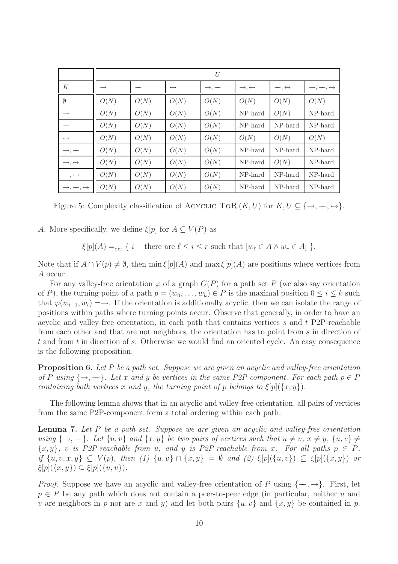|                                    | U             |      |                       |                  |                                |                                    |                                      |  |  |
|------------------------------------|---------------|------|-----------------------|------------------|--------------------------------|------------------------------------|--------------------------------------|--|--|
| К                                  | $\rightarrow$ |      | $\longleftrightarrow$ | $\rightarrow, -$ | $\rightarrow, \leftrightarrow$ | $\longrightarrow, \leftrightarrow$ | $\rightarrow, -$ , $\leftrightarrow$ |  |  |
| Ø                                  | O(N)          | O(N) | O(N)                  | O(N)             | O(N)                           | O(N)                               | O(N)                                 |  |  |
| $\longrightarrow$                  | O(N)          | O(N) | O(N)                  | O(N)             | NP-hard                        | O(N)                               | NP-hard                              |  |  |
|                                    | O(N)          | O(N) | O(N)                  | O(N)             | NP-hard                        | NP-hard                            | NP-hard                              |  |  |
| $\longleftrightarrow$              | O(N)          | O(N) | O(N)                  | O(N)             | O(N)                           | O(N)                               | O(N)                                 |  |  |
| $\rightarrow, -$                   | O(N)          | O(N) | O(N)                  | O(N)             | NP-hard                        | $NP$ -hard                         | NP-hard                              |  |  |
| $\rightarrow, \leftrightarrow$     | O(N)          | O(N) | O(N)                  | O(N)             | NP-hard                        | O(N)                               | NP-hard                              |  |  |
| $\longrightarrow, \leftrightarrow$ | O(N)          | O(N) | O(N)                  | O(N)             | NP-hard                        | NP-hard                            | NP-hard                              |  |  |
| $\rightarrow, - , \leftrightarrow$ | O(N)          | O(N) | O(N)                  | O(N)             | NP-hard                        | NP-hard                            | NP-hard                              |  |  |

Figure 5: Complexity classification of ACYCLIC TOR  $(K, U)$  for  $K, U \subseteq \{\rightarrow, -, \leftrightarrow\}.$ 

A. More specifically, we define  $\xi[p]$  for  $A \subseteq V(P)$  as

 $\xi[p](A) =_{\text{def}} \{ i \mid \text{ there are } \ell \leq i \leq r \text{ such that } [w_{\ell} \in A \wedge w_r \in A] \}.$ 

Note that if  $A \cap V(p) \neq \emptyset$ , then min  $\xi[p](A)$  and max  $\xi[p](A)$  are positions where vertices from A occur.

For any valley-free orientation  $\varphi$  of a graph  $G(P)$  for a path set P (we also say orientation of P), the turning point of a path  $p = (w_0, \ldots, w_k) \in P$  is the maximal position  $0 \le i \le k$  such that  $\varphi(w_{i-1}, w_i) = \rightarrow$ . If the orientation is additionally acyclic, then we can isolate the range of positions within paths where turning points occur. Observe that generally, in order to have an acyclic and valley-free orientation, in each path that contains vertices s and t P2P-reachable from each other and that are not neighbors, the orientation has to point from s in direction of t and from t in direction of s. Otherwise we would find an oriented cycle. An easy consequence is the following proposition.

Proposition 6. Let P be a path set. Suppose we are given an acyclic and valley-free orientation of P using  $\{\rightarrow, -\}$ . Let x and y be vertices in the same P2P-component. For each path  $p \in P$ containing both vertices x and y, the turning point of p belongs to  $\xi[p](\{x,y\})$ .

The following lemma shows that in an acyclic and valley-free orientation, all pairs of vertices from the same P2P-component form a total ordering within each path.

**Lemma 7.** Let P be a path set. Suppose we are given an acyclic and valley-free orientation using  $\{\rightarrow, -\}$ . Let  $\{u, v\}$  and  $\{x, y\}$  be two pairs of vertices such that  $u \neq v$ ,  $x \neq y$ ,  $\{u, v\} \neq v$  ${x, y}$ , v is P2P-reachable from u, and y is P2P-reachable from x. For all paths  $p \in P$ , if  $\{u, v, x, y\} \subseteq V(p)$ , then  $(1) \{u, v\} \cap \{x, y\} = \emptyset$  and  $(2) \xi[p](\{u, v\}) \subseteq \xi[p](\{x, y\})$  or  $\xi[p](\{x,y\}) \subseteq \xi[p](\{u,v\}).$ 

*Proof.* Suppose we have an acyclic and valley-free orientation of P using  $\{-, \rightarrow\}$ . First, let  $p \in P$  be any path which does not contain a peer-to-peer edge (in particular, neither u and v are neighbors in p nor are x and y) and let both pairs  $\{u, v\}$  and  $\{x, y\}$  be contained in p.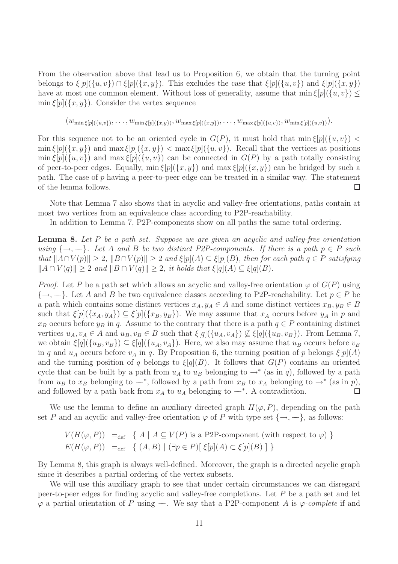From the observation above that lead us to Proposition 6, we obtain that the turning point belongs to  $\xi[p](\{u, v\}) \cap \xi[p](\{x, y\})$ . This excludes the case that  $\xi[p](\{u, v\})$  and  $\xi[p](\{x, y\})$ have at most one common element. Without loss of generality, assume that  $\min \{\{p | (\{u, v\}) \leq \}$  $\min \xi[p](\{x, y\})$ . Consider the vertex sequence

$$
(w_{\min \xi[p](\{u,v\})},\ldots,w_{\min \xi[p](\{x,y\})},w_{\max \xi[p](\{x,y\})},\ldots,w_{\max \xi[p](\{u,v\})},w_{\min \xi[p](\{u,v\})}).
$$

For this sequence not to be an oriented cycle in  $G(P)$ , it must hold that  $\min \xi[p](\{u, v\})$  $\min \{\mathfrak{p} | (\{x, y\})\}$  and  $\max \{\mathfrak{p} | (\{x, y\})\}$  max $\{\mathfrak{p} | (\{u, v\})\}$ . Recall that the vertices at positions  $\min \{\mathfrak{p} | (\{u, v\})\}$  and  $\max \{\mathfrak{p} | (\{u, v\})\}$  can be connected in  $G(P)$  by a path totally consisting of peer-to-peer edges. Equally,  $\min \xi[p](\{x, y\})$  and  $\max \xi[p](\{x, y\})$  can be bridged by such a path. The case of p having a peer-to-peer edge can be treated in a similar way. The statement of the lemma follows.  $\Box$ 

Note that Lemma 7 also shows that in acyclic and valley-free orientations, paths contain at most two vertices from an equivalence class according to P2P-reachability.

In addition to Lemma 7, P2P-components show on all paths the same total ordering.

Lemma 8. Let P be a path set. Suppose we are given an acyclic and valley-free orientation using  $\{\rightarrow, -\}$ . Let A and B be two distinct P2P-components. If there is a path  $p \in P$  such that  $||A \cap V(p)|| \geq 2$ ,  $||B \cap V(p)|| \geq 2$  and  $\xi[p](A) \subseteq \xi[p](B)$ , then for each path  $q \in P$  satisfying  $||A \cap V(q)|| \geq 2$  and  $||B \cap V(q)|| \geq 2$ , it holds that  $\xi[q](A) \subseteq \xi[q](B)$ .

*Proof.* Let P be a path set which allows an acyclic and valley-free orientation  $\varphi$  of  $G(P)$  using  $\{\rightarrow, -\}$ . Let A and B be two equivalence classes according to P2P-reachability. Let  $p \in P$  be a path which contains some distinct vertices  $x_A, y_A \in A$  and some distinct vertices  $x_B, y_B \in B$ such that  $\xi[p](\{x_A, y_A\}) \subseteq \xi[p](\{x_B, y_B\})$ . We may assume that  $x_A$  occurs before  $y_A$  in p and  $x_B$  occurs before  $y_B$  in q. Assume to the contrary that there is a path  $q \in P$  containing distinct vertices  $u_A, v_A \in A$  and  $u_B, v_B \in B$  such that  $\xi[q](\{u_A, v_A\}) \nsubseteq \xi[q](\{u_B, v_B\})$ . From Lemma 7, we obtain  $\xi[q](\{u_B, v_B\}) \subseteq \xi[q](\{u_A, v_A\})$ . Here, we also may assume that  $u_B$  occurs before  $v_B$ in q and  $u_A$  occurs before  $v_A$  in q. By Proposition 6, the turning position of p belongs  $\xi[p](A)$ and the turning position of q belongs to  $\xi[q](B)$ . It follows that  $G(P)$  contains an oriented cycle that can be built by a path from  $u_A$  to  $u_B$  belonging to  $\rightarrow^*$  (as in q), followed by a path from  $u_B$  to  $x_B$  belonging to  $-\ast$ , followed by a path from  $x_B$  to  $x_A$  belonging to  $\rightarrow^*$  (as in p), and followed by a path back from  $x_A$  to  $u_A$  belonging to  $-^*$ . A contradiction.  $\Box$ 

We use the lemma to define an auxiliary directed graph  $H(\varphi, P)$ , depending on the path set P and an acyclic and valley-free orientation  $\varphi$  of P with type set  $\{\rightarrow, -\}$ , as follows:

$$
V(H(\varphi, P)) =_{\text{def}} \{ A \mid A \subseteq V(P) \text{ is a P2P-component (with respect to } \varphi) \}
$$
  

$$
E(H(\varphi, P)) =_{\text{def}} \{ (A, B) \mid (\exists p \in P) [\xi[p](A) \subset \xi[p](B) ] \}
$$

By Lemma 8, this graph is always well-defined. Moreover, the graph is a directed acyclic graph since it describes a partial ordering of the vertex subsets.

We will use this auxiliary graph to see that under certain circumstances we can disregard peer-to-peer edges for finding acyclic and valley-free completions. Let P be a path set and let  $\varphi$  a partial orientation of P using –. We say that a P2P-component A is  $\varphi$ -complete if and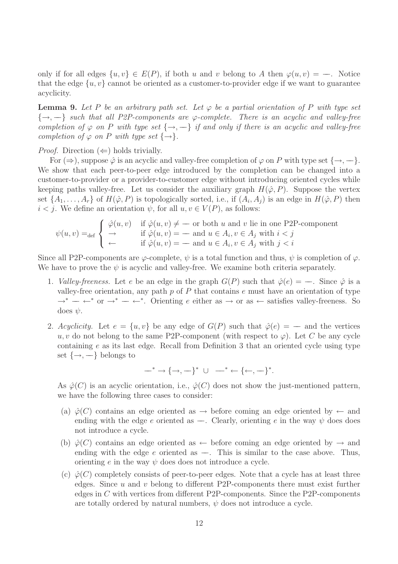only if for all edges  $\{u, v\} \in E(P)$ , if both u and v belong to A then  $\varphi(u, v) = -\infty$ . Notice that the edge  $\{u, v\}$  cannot be oriented as a customer-to-provider edge if we want to guarantee acyclicity.

**Lemma 9.** Let P be an arbitrary path set. Let  $\varphi$  be a partial orientation of P with type set  ${\rightarrow, -}$  such that all P2P-components are  $\varphi$ -complete. There is an acyclic and valley-free completion of  $\varphi$  on P with type set  $\{\rightarrow, -\}$  if and only if there is an acyclic and valley-free completion of  $\varphi$  on P with type set  $\{\rightarrow\}$ .

*Proof.* Direction  $(\Leftarrow)$  holds trivially.

For  $(\Rightarrow)$ , suppose  $\hat{\varphi}$  is an acyclic and valley-free completion of  $\varphi$  on P with type set  $\{\rightarrow, -\}.$ We show that each peer-to-peer edge introduced by the completion can be changed into a customer-to-provider or a provider-to-customer edge without introducing oriented cycles while keeping paths valley-free. Let us consider the auxiliary graph  $H(\hat{\varphi}, P)$ . Suppose the vertex set  $\{A_1, \ldots, A_r\}$  of  $H(\hat{\varphi}, P)$  is topologically sorted, i.e., if  $(A_i, A_j)$  is an edge in  $H(\hat{\varphi}, P)$  then  $i < j$ . We define an orientation  $\psi$ , for all  $u, v \in V(P)$ , as follows:

$$
\psi(u,v) =_{\text{def}} \begin{cases} \hat{\varphi}(u,v) & \text{if } \hat{\varphi}(u,v) \neq - \text{ or both } u \text{ and } v \text{ lie in one P2P-component} \\ \rightarrow & \text{if } \hat{\varphi}(u,v) = - \text{ and } u \in A_i, v \in A_j \text{ with } i < j \\ \leftarrow & \text{if } \hat{\varphi}(u,v) = - \text{ and } u \in A_i, v \in A_j \text{ with } j < i \end{cases}
$$

Since all P2P-components are  $\varphi$ -complete,  $\psi$  is a total function and thus,  $\psi$  is completion of  $\varphi$ . We have to prove the  $\psi$  is acyclic and valley-free. We examine both criteria separately.

- 1. Valley-freeness. Let e be an edge in the graph  $G(P)$  such that  $\hat{\varphi}(e) = -\gamma$ . Since  $\hat{\varphi}$  is a valley-free orientation, any path  $p$  of  $P$  that contains  $e$  must have an orientation of type  $\rightarrow^*$  –  $\leftarrow^*$  or  $\rightarrow^*$  –  $\leftarrow^*$ . Orienting e either as  $\rightarrow$  or as  $\leftarrow$  satisfies valley-freeness. So does  $\psi$ .
- 2. Acyclicity. Let  $e = \{u, v\}$  be any edge of  $G(P)$  such that  $\hat{\varphi}(e) = -\varphi$  and the vertices u, v do not belong to the same P2P-component (with respect to  $\varphi$ ). Let C be any cycle containing e as its last edge. Recall from Definition 3 that an oriented cycle using type set  $\{\rightarrow, -\}$  belongs to

 $-\ast \to \{\to, -\}^* \cup -\ast \leftarrow \{\leftarrow, -\}^*.$ 

As  $\hat{\varphi}(C)$  is an acyclic orientation, i.e.,  $\hat{\varphi}(C)$  does not show the just-mentioned pattern, we have the following three cases to consider:

- (a)  $\hat{\varphi}(C)$  contains an edge oriented as  $\rightarrow$  before coming an edge oriented by  $\leftarrow$  and ending with the edge e oriented as  $\overline{-}$ . Clearly, orienting e in the way  $\psi$  does does not introduce a cycle.
- (b)  $\hat{\varphi}(C)$  contains an edge oriented as  $\leftarrow$  before coming an edge oriented by  $\rightarrow$  and ending with the edge  $e$  oriented as  $-$ . This is similar to the case above. Thus, orienting e in the way  $\psi$  does does not introduce a cycle.
- (c)  $\hat{\varphi}(C)$  completely consists of peer-to-peer edges. Note that a cycle has at least three edges. Since  $u$  and  $v$  belong to different P2P-components there must exist further edges in C with vertices from different P2P-components. Since the P2P-components are totally ordered by natural numbers,  $\psi$  does not introduce a cycle.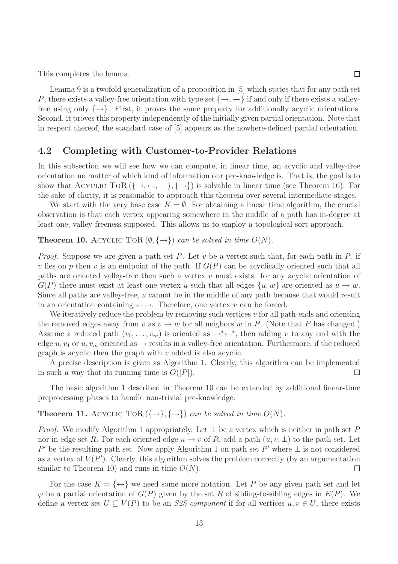This completes the lemma.

Lemma 9 is a twofold generalization of a proposition in [5] which states that for any path set P, there exists a valley-free orientation with type set  $\{\rightarrow, -\}$  if and only if there exists a valleyfree using only  $\{\rightarrow\}$ . First, it proves the same property for additionally acyclic orientations. Second, it proves this property independently of the initially given partial orientation. Note that in respect thereof, the standard case of [5] appears as the nowhere-defined partial orientation.

#### 4.2 Completing with Customer-to-Provider Relations

In this subsection we will see how we can compute, in linear time, an acyclic and valley-free orientation no matter of which kind of information our pre-knowledge is. That is, the goal is to show that ACYCLIC TOR  $({\{\rightarrow,\leftrightarrow,\text{--}\},\{\rightarrow\})}$  is solvable in linear time (see Theorem 16). For the sake of clarity, it is reasonable to approach this theorem over several intermediate stages.

We start with the very base case  $K = \emptyset$ . For obtaining a linear time algorithm, the crucial observation is that each vertex appearing somewhere in the middle of a path has in-degree at least one, valley-freeness supposed. This allows us to employ a topological-sort approach.

**Theorem 10.** ACYCLIC TOR  $(\emptyset, \{\rightarrow\})$  can be solved in time  $O(N)$ .

*Proof.* Suppose we are given a path set P. Let v be a vertex such that, for each path in P, if v lies on p then v is an endpoint of the path. If  $G(P)$  can be acyclically oriented such that all paths are oriented valley-free then such a vertex  $v$  must exists: for any acyclic orientation of  $G(P)$  there must exist at least one vertex u such that all edges  $\{u, w\}$  are oriented as  $u \to w$ . Since all paths are valley-free, u cannot be in the middle of any path because that would result in an orientation containing  $\leftarrow \rightarrow$ . Therefore, one vertex v can be forced.

We iteratively reduce the problem by removing such vertices  $v$  for all path-ends and orienting the removed edges away from v as  $v \to w$  for all neigbors w in P. (Note that P has changed.) Assume a reduced path  $(v_0, \ldots, v_m)$  is oriented as  $\rightarrow^* \leftarrow^*$ , then adding v to any end with the edge u,  $v_1$  or u,  $v_m$  oriented as  $\rightarrow$  results in a valley-free orientation. Furthermore, if the reduced graph is acyclic then the graph with  $v$  added is also acyclic.

A precise description is given as Algorithm 1. Clearly, this algorithm can be implemented in such a way that its running time is  $O(|P|)$ .  $\Box$ 

The basic algorithm 1 described in Theorem 10 can be extended by additional linear-time preprocessing phases to handle non-trivial pre-knowledge.

**Theorem 11.** ACYCLIC TOR  $\{\rightarrow\}$ ,  $\{\rightarrow\}$  can be solved in time  $O(N)$ .

*Proof.* We modify Algorithm 1 appropriately. Let  $\perp$  be a vertex which is neither in path set P nor in edge set R. For each oriented edge  $u \to v$  of R, add a path  $(u, v, \perp)$  to the path set. Let P' be the resulting path set. Now apply Algorithm 1 on path set P' where  $\perp$  is not considered as a vertex of  $V(P')$ . Clearly, this algorithm solves the problem correctly (by an argumentation similar to Theorem 10) and runs in time  $O(N)$ .  $\Box$ 

For the case  $K = \{\leftrightarrow\}$  we need some more notation. Let P be any given path set and let  $\varphi$  be a partial orientation of  $G(P)$  given by the set R of sibling-to-sibling edges in  $E(P)$ . We define a vertex set  $U \subseteq V(P)$  to be an S2S-component if for all vertices  $u, v \in U$ , there exists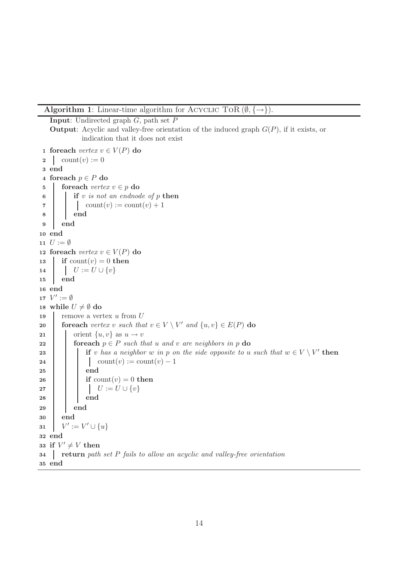Algorithm 1: Linear-time algorithm for ACYCLIC TOR  $(\emptyset, \{\rightarrow\})$ .

**Input:** Undirected graph  $G$ , path set  $P$ 

**Output:** Acyclic and valley-free orientation of the induced graph  $G(P)$ , if it exists, or indication that it does not exist

```
1 foreach vertex v \in V(P) do
 2 count(v) := 03 end
 4 foreach p \in P do
 5 foreach vertex v \in p do
 \begin{array}{c|c|c|c|c} \mathbf{6} & \mathbf{1} & \mathbf{1} & \mathbf{1} & \mathbf{1} & \mathbf{1} & \mathbf{1} & \mathbf{1} & \mathbf{1} & \mathbf{1} & \mathbf{1} & \mathbf{1} & \mathbf{1} & \mathbf{1} & \mathbf{1} & \mathbf{1} & \mathbf{1} & \mathbf{1} & \mathbf{1} & \mathbf{1} & \mathbf{1} & \mathbf{1} & \mathbf{1} & \mathbf{1} & \mathbf{1} & \mathbf{1} & \mathbf{1} & \mathbf{1} & \mathbf{1} & \math\mathsf{z} | count(v) := \text{count}(v) + 18 end
 9 end
10 end
11 U := \emptyset12 foreach vertex v \in V(P) do
13 if count(v) = 0 then
14 | U := U \cup \{v\}15 end
16 end
17 V' := \emptyset18 while U \neq \emptyset do
19 remove a vertex u from U20 for each vertex v such that v \in V \setminus V' and \{u, v\} \in E(P) do
21 | orient \{u, v\} as u \to v22 for each p \in P such that u and v are neighbors in p do
23 \Box if v has a neighbor w in p on the side opposite to u such that w \in V \setminus V' then
24 count(v) := \text{count}(v) - 125 \parallel \parallel end
26 if count(v) = 0 then
27 | | | | U := U \cup \{v\}28 end
29 end
30 end
31 V' := V' \cup \{u\}32 end
33 if V' \neq V then
34 return path set P fails to allow an acyclic and valley-free orientation
35 end
```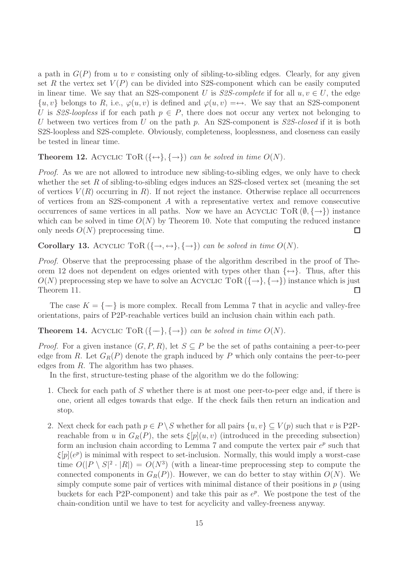a path in  $G(P)$  from u to v consisting only of sibling-to-sibling edges. Clearly, for any given set R the vertex set  $V(P)$  can be divided into S2S-component which can be easily computed in linear time. We say that an S2S-component U is S2S-complete if for all  $u, v \in U$ , the edge  $\{u, v\}$  belongs to R, i.e.,  $\varphi(u, v)$  is defined and  $\varphi(u, v) = \leftrightarrow$ . We say that an S2S-component U is S2S-loopless if for each path  $p \in P$ , there does not occur any vertex not belonging to U between two vertices from U on the path p. An S2S-component is  $S2S$ -closed if it is both S2S-loopless and S2S-complete. Obviously, completeness, looplessness, and closeness can easily be tested in linear time.

**Theorem 12.** ACYCLIC TOR  $({{\leftrightarrow}}$ ,  ${\{\rightarrow\}}$  *can be solved in time O(N).* 

Proof. As we are not allowed to introduce new sibling-to-sibling edges, we only have to check whether the set  $R$  of sibling-to-sibling edges induces an S2S-closed vertex set (meaning the set of vertices  $V(R)$  occurring in R). If not reject the instance. Otherwise replace all occurrences of vertices from an S2S-component A with a representative vertex and remove consecutive occurrences of same vertices in all paths. Now we have an ACYCLIC TOR  $(\emptyset, \{\rightarrow\})$  instance which can be solved in time  $O(N)$  by Theorem 10. Note that computing the reduced instance only needs  $O(N)$  preprocessing time.  $\Box$ 

Corollary 13. ACYCLIC TOR  $\{\rightarrow, \leftrightarrow\}, \{\rightarrow\}$  can be solved in time  $O(N)$ .

Proof. Observe that the preprocessing phase of the algorithm described in the proof of Theorem 12 does not dependent on edges oriented with types other than  $\{\leftrightarrow\}$ . Thus, after this  $O(N)$  preprocessing step we have to solve an ACYCLIC TOR  $({\rightarrow}, {\rightarrow})$  instance which is just Theorem 11. □

The case  $K = \{-\}$  is more complex. Recall from Lemma 7 that in acyclic and valley-free orientations, pairs of P2P-reachable vertices build an inclusion chain within each path.

Theorem 14. ACYCLIC TOR  $({-}, {\rightarrow})$  can be solved in time  $O(N)$ .

*Proof.* For a given instance  $(G, P, R)$ , let  $S \subseteq P$  be the set of paths containing a peer-to-peer edge from R. Let  $G_R(P)$  denote the graph induced by P which only contains the peer-to-peer edges from  $R$ . The algorithm has two phases.

In the first, structure-testing phase of the algorithm we do the following:

- 1. Check for each path of S whether there is at most one peer-to-peer edge and, if there is one, orient all edges towards that edge. If the check fails then return an indication and stop.
- 2. Next check for each path  $p \in P \backslash S$  whether for all pairs  $\{u, v\} \subseteq V(p)$  such that v is P2Preachable from u in  $G_R(P)$ , the sets  $\xi[p](u, v)$  (introduced in the preceding subsection) form an inclusion chain according to Lemma 7 and compute the vertex pair  $e^p$  such that  $\xi[p](e^p)$  is minimal with respect to set-inclusion. Normally, this would imply a worst-case time  $O(|P \setminus S|^2 \cdot |R|) = O(N^3)$  (with a linear-time preprocessing step to compute the connected components in  $G_R(P)$ ). However, we can do better to stay within  $O(N)$ . We simply compute some pair of vertices with minimal distance of their positions in  $p$  (using buckets for each P2P-component) and take this pair as  $e^p$ . We postpone the test of the chain-condition until we have to test for acyclicity and valley-freeness anyway.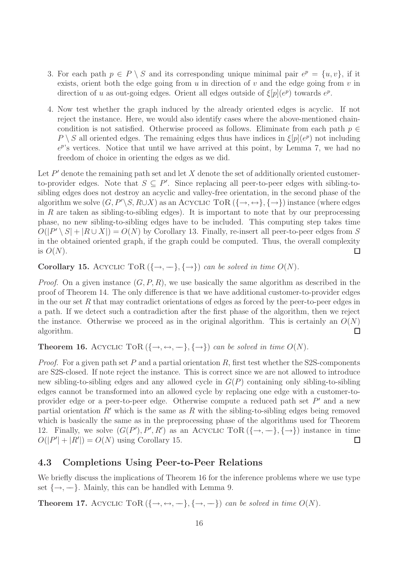- 3. For each path  $p \in P \setminus S$  and its corresponding unique minimal pair  $e^p = \{u, v\}$ , if it exists, orient both the edge going from  $u$  in direction of  $v$  and the edge going from  $v$  in direction of u as out-going edges. Orient all edges outside of  $\xi[p](e^p)$  towards  $e^p$ .
- 4. Now test whether the graph induced by the already oriented edges is acyclic. If not reject the instance. Here, we would also identify cases where the above-mentioned chaincondition is not satisfied. Otherwise proceed as follows. Eliminate from each path  $p \in$  $P \setminus S$  all oriented edges. The remaining edges thus have indices in  $\xi[p](e^p)$  not including  $e^{p}$ 's vertices. Notice that until we have arrived at this point, by Lemma 7, we had no freedom of choice in orienting the edges as we did.

Let  $P'$  denote the remaining path set and let  $X$  denote the set of additionally oriented customerto-provider edges. Note that  $S \subseteq P'$ . Since replacing all peer-to-peer edges with sibling-tosibling edges does not destroy an acyclic and valley-free orientation, in the second phase of the algorithm we solve  $(G, P'\setminus S, R\cup X)$  as an ACYCLIC TOR  $({\{\rightarrow, \leftrightarrow\}, \{\rightarrow\})}$  instance (where edges in  $R$  are taken as sibling-to-sibling edges). It is important to note that by our preprocessing phase, no new sibling-to-sibling edges have to be included. This computing step takes time  $O(|P' \setminus S| + |R \cup X|) = O(N)$  by Corollary 13. Finally, re-insert all peer-to-peer edges from S in the obtained oriented graph, if the graph could be computed. Thus, the overall complexity is  $O(N)$ .  $\Box$ 

# Corollary 15. ACYCLIC TOR  $({\{\rightarrow,\{\rightarrow\},\{\rightarrow\}}})$  can be solved in time  $O(N)$ .

*Proof.* On a given instance  $(G, P, R)$ , we use basically the same algorithm as described in the proof of Theorem 14. The only difference is that we have additional customer-to-provider edges in the our set R that may contradict orientations of edges as forced by the peer-to-peer edges in a path. If we detect such a contradiction after the first phase of the algorithm, then we reject the instance. Otherwise we proceed as in the original algorithm. This is certainly an  $O(N)$  $\Box$ algorithm.

# **Theorem 16.** ACYCLIC TOR  $({\rightarrow, \leftrightarrow, -}, {\rightarrow})$  can be solved in time  $O(N)$ .

*Proof.* For a given path set  $P$  and a partial orientation  $R$ , first test whether the S2S-components are S2S-closed. If note reject the instance. This is correct since we are not allowed to introduce new sibling-to-sibling edges and any allowed cycle in  $G(P)$  containing only sibling-to-sibling edges cannot be transformed into an allowed cycle by replacing one edge with a customer-toprovider edge or a peer-to-peer edge. Otherwise compute a reduced path set  $P'$  and a new partial orientation  $R'$  which is the same as R with the sibling-to-sibling edges being removed which is basically the same as in the preprocessing phase of the algorithms used for Theorem 12. Finally, we solve  $(G(P'), P', R')$  as an ACYCLIC TOR  $({\{\rightarrow, -\}, \{\rightarrow\})}$  instance in time  $O(|P'| + |R'|) = O(N)$  using Corollary 15.  $\Box$ 

#### 4.3 Completions Using Peer-to-Peer Relations

We briefly discuss the implications of Theorem 16 for the inference problems where we use type set  $\{\rightarrow, -\}$ . Mainly, this can be handled with Lemma 9.

Theorem 17. ACYCLIC TOR  $({\rightarrow}, {\rightarrow}, {-}, {\rightarrow}, {\rightarrow}, {\rightarrow})$  can be solved in time  $O(N)$ .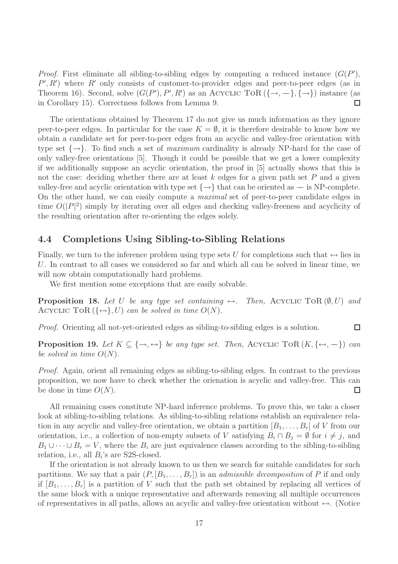*Proof.* First eliminate all sibling-to-sibling edges by computing a reduced instance  $(G(P'),$  $P', R'$ ) where R' only consists of customer-to-provider edges and peer-to-peer edges (as in Theorem 16). Second, solve  $(G(P'), P', R')$  as an ACYCLIC TOR  $(\{\rightarrow, -\}, \{\rightarrow\})$  instance (as in Corollary 15). Correctness follows from Lemma 9.  $\Box$ 

The orientations obtained by Theorem 17 do not give us much information as they ignore peer-to-peer edges. In particular for the case  $K = \emptyset$ , it is therefore desirable to know how we obtain a candidate set for peer-to-peer edges from an acyclic and valley-free orientation with type set  $\{\rightarrow\}$ . To find such a set of maximum cardinality is already NP-hard for the case of only valley-free orientations [5]. Though it could be possible that we get a lower complexity if we additionally suppose an acyclic orientation, the proof in [5] actually shows that this is not the case: deciding whether there are at least  $k$  edges for a given path set  $P$  and a given valley-free and acyclic orientation with type set  $\{\rightarrow\}$  that can be oriented as  $-$  is NP-complete. On the other hand, we can easily compute a maximal set of peer-to-peer candidate edges in time  $O(|P|^2)$  simply by iterating over all edges and checking valley-freeness and acyclicity of the resulting orientation after re-orienting the edges solely.

#### 4.4 Completions Using Sibling-to-Sibling Relations

Finally, we turn to the inference problem using type sets U for completions such that  $\leftrightarrow$  lies in U. In contrast to all cases we considered so far and which all can be solved in linear time, we will now obtain computationally hard problems.

We first mention some exceptions that are easily solvable.

**Proposition 18.** Let U be any type set containing  $\leftrightarrow$ . Then, ACYCLIC TOR  $(\emptyset, U)$  and ACYCLIC TOR  $({\{\leftrightarrow\}} , U)$  can be solved in time  $O(N)$ .

 $\Box$ 

Proof. Orienting all not-yet-oriented edges as sibling-to-sibling edges is a solution.

**Proposition 19.** Let  $K \subseteq \{\rightarrow, \leftrightarrow\}$  be any type set. Then, ACYCLIC TOR  $(K, \{\leftrightarrow, -\})$  can be solved in time  $O(N)$ .

Proof. Again, orient all remaining edges as sibling-to-sibling edges. In contrast to the previous proposition, we now have to check whether the orienation is acyclic and valley-free. This can be done in time  $O(N)$ .  $\Box$ 

All remaining cases constitute NP-hard inference problems. To prove this, we take a closer look at sibling-to-sibling relations. As sibling-to-sibling relations establish an equivalence relation in any acyclic and valley-free orientation, we obtain a partition  $[B_1, \ldots, B_r]$  of V from our orientation, i.e., a collection of non-empty subsets of V satisfying  $B_i \cap B_j = \emptyset$  for  $i \neq j$ , and  $B_1 \cup \cdots \cup B_r = V$ , where the  $B_i$  are just equivalence classes according to the sibling-to-sibling relation, i.e., all  $B_i$ 's are S2S-closed.

If the orientation is not already known to us then we search for suitable candidates for such partitions. We say that a pair  $(P, [B_1, \ldots, B_r])$  is an *admissible decomposition* of P if and only if  $[B_1, \ldots, B_r]$  is a partition of V such that the path set obtained by replacing all vertices of the same block with a unique representative and afterwards removing all multiple occurrences of representatives in all paths, allows an acyclic and valley-free orientation without  $\leftrightarrow$ . (Notice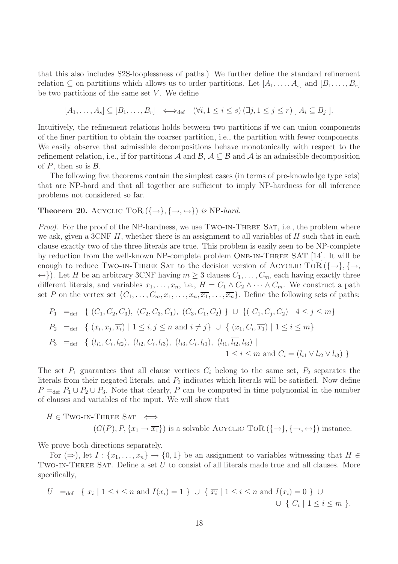that this also includes S2S-looplessness of paths.) We further define the standard refinement relation  $\subseteq$  on partitions which allows us to order partitions. Let  $[A_1, \ldots, A_s]$  and  $[B_1, \ldots, B_r]$ be two partitions of the same set  $V$ . We define

$$
[A_1,\ldots,A_s] \subseteq [B_1,\ldots,B_r] \iff_{def} (\forall i, 1 \leq i \leq s) (\exists j, 1 \leq j \leq r) [A_i \subseteq B_j].
$$

Intuitively, the refinement relations holds between two partitions if we can union components of the finer partition to obtain the coarser partition, i.e., the partition with fewer components. We easily observe that admissible decompositions behave monotonically with respect to the refinement relation, i.e., if for partitions  $\mathcal A$  and  $\mathcal B$ ,  $\mathcal A \subseteq \mathcal B$  and  $\mathcal A$  is an admissible decomposition of  $P$ , then so is  $\mathcal{B}$ .

The following five theorems contain the simplest cases (in terms of pre-knowledge type sets) that are NP-hard and that all together are sufficient to imply NP-hardness for all inference problems not considered so far.

#### **Theorem 20.** ACYCLIC TOR  $\{\rightarrow\}$ ,  $\{\rightarrow, \leftrightarrow\}$  is NP-hard.

Proof. For the proof of the NP-hardness, we use TWO-IN-THREE SAT, i.e., the problem where we ask, given a 3CNF  $H$ , whether there is an assignment to all variables of  $H$  such that in each clause exactly two of the three literals are true. This problem is easily seen to be NP-complete by reduction from the well-known NP-complete problem One-in-Three SAT [14]. It will be enough to reduce Two-in-Three Sat to the decision version of Acyclic ToR ({→}, {→,  $\leftrightarrow$ ). Let H be an arbitrary 3CNF having  $m \geq 3$  clauses  $C_1, \ldots, C_m$ , each having exactly three different literals, and variables  $x_1, \ldots, x_n$ , i.e.,  $H = C_1 \wedge C_2 \wedge \cdots \wedge C_m$ . We construct a path set P on the vertex set  $\{C_1, \ldots, C_m, x_1, \ldots, x_n, \overline{x_1}, \ldots, \overline{x_n}\}$ . Define the following sets of paths:

$$
P_1 =_{def} \{ (C_1, C_2, C_3), (C_2, C_3, C_1), (C_3, C_1, C_2) \} \cup \{ (C_1, C_j, C_2) | 4 \le j \le m \}
$$
  
\n
$$
P_2 =_{def} \{ (x_i, x_j, \overline{x_i}) | 1 \le i, j \le n \text{ and } i \ne j \} \cup \{ (x_1, C_i, \overline{x_1}) | 1 \le i \le m \}
$$
  
\n
$$
P_3 =_{def} \{ (l_{i1}, C_i, l_{i2}), (l_{i2}, C_i, l_{i3}), (l_{i3}, C_i, l_{i1}), (l_{i1}, \overline{l_{i2}}, l_{i3}) | 1 \le i \le m \text{ and } C_i = (l_{i1} \vee l_{i2} \vee l_{i3}) \}
$$

The set  $P_1$  guarantees that all clause vertices  $C_i$  belong to the same set,  $P_2$  separates the literals from their negated literals, and  $P_3$  indicates which literals will be satisfied. Now define  $P =_{def} P_1 \cup P_2 \cup P_3$ . Note that clearly, P can be computed in time polynomial in the number of clauses and variables of the input. We will show that

$$
H \in \text{Two-in-Three SAT} \iff (G(P), P, \{x_1 \to \overline{x_1}\}) \text{ is a solvable Acyclic TOR } (\{\to\}, \{\to, \leftrightarrow\}) \text{ instance.}
$$

We prove both directions separately.

For  $(\Rightarrow)$ , let  $I: \{x_1, \ldots, x_n\} \to \{0, 1\}$  be an assignment to variables witnessing that  $H \in$ TWO-IN-THREE SAT. Define a set  $U$  to consist of all literals made true and all clauses. More specifically,

$$
U =_{def} \{ x_i \mid 1 \le i \le n \text{ and } I(x_i) = 1 \} \cup \{ \overline{x_i} \mid 1 \le i \le n \text{ and } I(x_i) = 0 \} \cup \{ C_i \mid 1 \le i \le m \}.
$$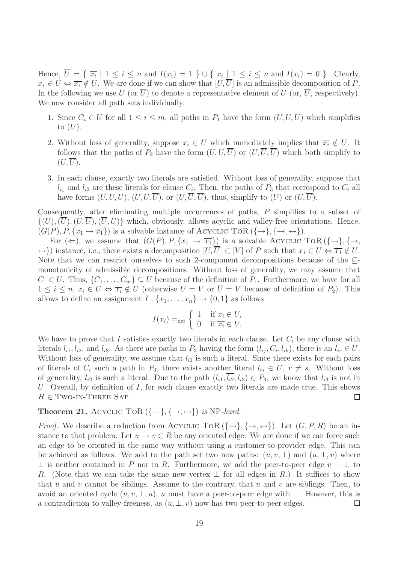Hence,  $U = \{ \overline{x_i} \mid 1 \leq i \leq n \text{ and } I(x_i) = 1 \} \cup \{ x_i \mid 1 \leq i \leq n \text{ and } I(x_i) = 0 \}.$  Clearly,  $x_1 \in U \Leftrightarrow \overline{x_1} \notin U$ . We are done if we can show that  $[U, \overline{U}]$  is an admissible decomposition of P. In the following we use U (or  $\overline{U}$ ) to denote a representative element of U (or,  $\overline{U}$ , respectively). We now consider all path sets individually:

- 1. Since  $C_i \in U$  for all  $1 \leq i \leq m$ , all paths in  $P_1$  have the form  $(U, U, U)$  which simplifies to  $(U)$ .
- 2. Without loss of generality, suppose  $x_i \in U$  which immediately implies that  $\overline{x_i} \notin U$ . It follows that the paths of  $P_2$  have the form  $(U, U, \overline{U})$  or  $(U, \overline{U}, \overline{U})$  which both simplify to  $(U,\overline{U}).$
- 3. In each clause, exactly two literals are satisfied. Without loss of generality, suppose that  $l_{i_1}$  and  $l_{i_2}$  are these literals for clause  $C_i$ . Then, the paths of  $P_3$  that correspond to  $C_i$  all have forms  $(U, U, U)$ ,  $(U, U, \overline{U})$ , or  $(U, \overline{U}, \overline{U})$ , thus, simplify to  $(U)$  or  $(U, \overline{U})$ .

Consequently, after eliminating multiple occurrences of paths, P simplifies to a subset of  $\{(U), (U), (U, U), (U, U)\}\$  which, obviously, allows acyclic and valley-free orientations. Hence,  $(G(P), P, \{x_1 \rightarrow \overline{x_1}\})$  is a solvable instance of ACYCLIC TOR  $(\{\rightarrow\}, \{\rightarrow, \leftrightarrow\})$ .

For  $(\Leftarrow)$ , we assume that  $(G(P), P, \{x_1 \rightarrow \overline{x_1}\})$  is a solvable ACYCLIC TOR  $(\{\rightarrow\}, \{\rightarrow\})$  $\leftrightarrow$ }) instance, i.e., there exists a decomposition  $[U, \overline{U}] \subset [V]$  of P such that  $x_1 \in U \Leftrightarrow \overline{x_1} \notin U$ . Note that we can restrict ourselves to such 2-component decompositions because of the ⊆ monotonicity of admissible decompositions. Without loss of generality, we may assume that  $C_1 \in U$ . Thus,  $\{C_1, \ldots, C_m\} \subseteq U$  because of the definition of  $P_1$ . Furthermore, we have for all  $1 \leq i \leq n$ ,  $x_i \in U \Leftrightarrow \overline{x_i} \notin U$  (otherwise  $U = V$  or  $\overline{U} = V$  because of definition of  $P_2$ ). This allows to define an assignment  $I: \{x_1, \ldots, x_n\} \to \{0, 1\}$  as follows

$$
I(x_i) =_{\text{def}} \begin{cases} 1 & \text{if } x_i \in U, \\ 0 & \text{if } \overline{x_i} \in U. \end{cases}
$$

We have to prove that I satisfies exactly two literals in each clause. Let  $C_i$  be any clause with literals  $l_{i1}, l_{i2}$ , and  $l_{i3}$ . As there are paths in  $P_3$  having the form  $(l_{ij}, C_i, l_{ik})$ , there is an  $l_{ir} \in U$ . Without loss of generality, we assume that  $l_{i1}$  is such a literal. Since there exists for each pairs of literals of  $C_i$  such a path in  $P_3$ , there exists another literal  $l_{is} \in U, r \neq s$ . Without loss of generality,  $l_{i2}$  is such a literal. Due to the path  $(l_{i1}, \overline{l_{i2}}, l_{i3}) \in P_3$ , we know that  $l_{i3}$  is not in U. Overall, by definition of  $I$ , for each clause exactly two literals are made true. This shows  $H \in$  TWO-IN-THREE SAT.  $\Box$ 

Theorem 21. ACYCLIC TOR  $({\{\text{–}\}, {\{\rightarrow,\leftrightarrow\}}})$  is NP-hard.

*Proof.* We describe a reduction from ACYCLIC TOR  $({\{\rightarrow\}, \{\rightarrow\}, \{\rightarrow\}, \{\rightarrow\})}$ . Let  $(G, P, R)$  be an instance to that problem. Let  $u \to v \in R$  be any oriented edge. We are done if we can force such an edge to be oriented in the same way without using a customer-to-provider edge. This can be achieved as follows. We add to the path set two new paths:  $(u, v, \perp)$  and  $(u, \perp, v)$  where  $\perp$  is neither contained in P nor in R. Furthermore, we add the peer-to-peer edge  $v \longrightarrow \perp$  to R. (Note that we can take the same new vertex  $\perp$  for all edges in R.) It suffices to show that u and v cannot be siblings. Assume to the contrary, that u and v are siblings. Then, to avoid an oriented cycle  $(u, v, \perp, u)$ , u must have a peer-to-peer edge with  $\perp$ . However, this is a contradiction to valley-freeness, as  $(u, \perp, v)$  now has two peer-to-peer edges.  $\Box$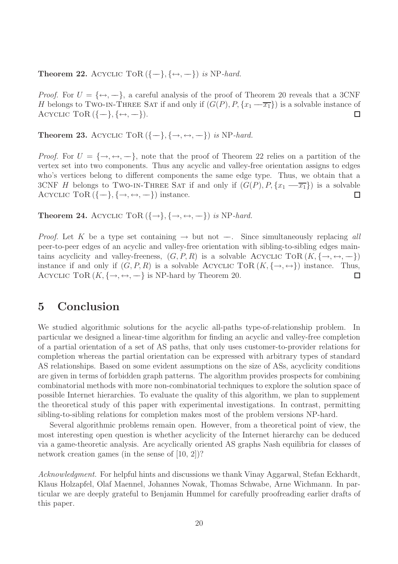Theorem 22. ACYCLIC TOR  $({-}, {\leftrightarrow, -})$  is NP-hard.

*Proof.* For  $U = {\{\leftrightarrow,\text{---}\}\}$ , a careful analysis of the proof of Theorem 20 reveals that a 3CNF H belongs to TWO-IN-THREE SAT if and only if  $(G(P), P, \{x_1 - \overline{x_1}\})$  is a solvable instance of ACYCLIC TOR  $\{\rightarrow, \{\leftrightarrow, \leftarrow\}$ ).  $\Box$ 

Theorem 23. ACYCLIC TOR  $({\{\text{−}\}, {\{\rightarrow,\leftrightarrow,\text{−}\}}})$  is NP-hard.

*Proof.* For  $U = \{\rightarrow, \leftrightarrow, -\}$ , note that the proof of Theorem 22 relies on a partition of the vertex set into two components. Thus any acyclic and valley-free orientation assigns to edges who's vertices belong to different components the same edge type. Thus, we obtain that a 3CNF H belongs to Two-IN-THREE SAT if and only if  $(G(P), P, \{x_1 - \overline{x_1}\})$  is a solvable ACYCLIC TOR  $({\{\text{−}\}, {\{\rightarrow}, \leftrightarrow, \text{−}\}})$  instance.  $\Box$ 

Theorem 24. ACYCLIC TOR  $({\{\rightarrow\}}, {\{\rightarrow,\leftrightarrow,\{-\}}})$  is NP-hard.

*Proof.* Let K be a type set containing  $\rightarrow$  but not  $\rightarrow$ . Since simultaneously replacing all peer-to-peer edges of an acyclic and valley-free orientation with sibling-to-sibling edges maintains acyclicity and valley-freeness,  $(G, P, R)$  is a solvable ACYCLIC TOR  $(K, \{\rightarrow, \rightarrow, -\})$ instance if and only if  $(G, P, R)$  is a solvable ACYCLIC TOR  $(K, \{\rightarrow, \leftrightarrow\})$  instance. Thus, ACYCLIC TOR  $(K, \{\rightarrow, \leftrightarrow, -\})$  is NP-hard by Theorem 20.  $\Box$ 

# 5 Conclusion

We studied algorithmic solutions for the acyclic all-paths type-of-relationship problem. In particular we designed a linear-time algorithm for finding an acyclic and valley-free completion of a partial orientation of a set of AS paths, that only uses customer-to-provider relations for completion whereas the partial orientation can be expressed with arbitrary types of standard AS relationships. Based on some evident assumptions on the size of ASs, acyclicity conditions are given in terms of forbidden graph patterns. The algorithm provides prospects for combining combinatorial methods with more non-combinatorial techniques to explore the solution space of possible Internet hierarchies. To evaluate the quality of this algorithm, we plan to supplement the theoretical study of this paper with experimental investigations. In contrast, permitting sibling-to-sibling relations for completion makes most of the problem versions NP-hard.

Several algorithmic problems remain open. However, from a theoretical point of view, the most interesting open question is whether acyclicity of the Internet hierarchy can be deduced via a game-theoretic analysis. Are acyclically oriented AS graphs Nash equilibria for classes of network creation games (in the sense of [10, 2])?

Acknowledgment. For helpful hints and discussions we thank Vinay Aggarwal, Stefan Eckhardt, Klaus Holzapfel, Olaf Maennel, Johannes Nowak, Thomas Schwabe, Arne Wichmann. In particular we are deeply grateful to Benjamin Hummel for carefully proofreading earlier drafts of this paper.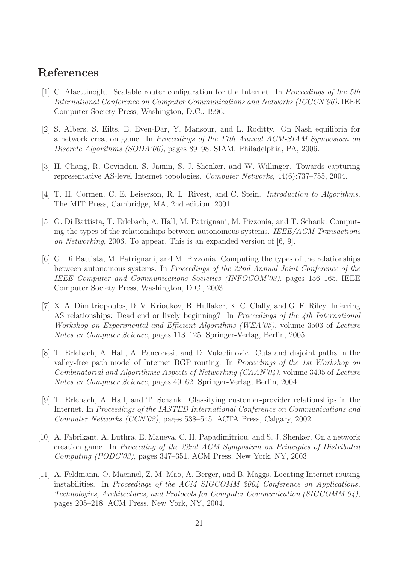# References

- [1] C. Alaettinoğlu. Scalable router configuration for the Internet. In Proceedings of the 5th International Conference on Computer Communications and Networks (ICCCN'96). IEEE Computer Society Press, Washington, D.C., 1996.
- [2] S. Albers, S. Eilts, E. Even-Dar, Y. Mansour, and L. Roditty. On Nash equilibria for a network creation game. In Proceedings of the 17th Annual ACM-SIAM Symposium on Discrete Algorithms (SODA'06), pages 89–98. SIAM, Philadelphia, PA, 2006.
- [3] H. Chang, R. Govindan, S. Jamin, S. J. Shenker, and W. Willinger. Towards capturing representative AS-level Internet topologies. Computer Networks, 44(6):737–755, 2004.
- [4] T. H. Cormen, C. E. Leiserson, R. L. Rivest, and C. Stein. Introduction to Algorithms. The MIT Press, Cambridge, MA, 2nd edition, 2001.
- [5] G. Di Battista, T. Erlebach, A. Hall, M. Patrignani, M. Pizzonia, and T. Schank. Computing the types of the relationships between autonomous systems. IEEE/ACM Transactions on Networking, 2006. To appear. This is an expanded version of [6, 9].
- [6] G. Di Battista, M. Patrignani, and M. Pizzonia. Computing the types of the relationships between autonomous systems. In Proceedings of the 22nd Annual Joint Conference of the IEEE Computer and Communications Societies (INFOCOM'03), pages 156–165. IEEE Computer Society Press, Washington, D.C., 2003.
- [7] X. A. Dimitriopoulos, D. V. Krioukov, B. Huffaker, K. C. Claffy, and G. F. Riley. Inferring AS relationships: Dead end or lively beginning? In Proceedings of the 4th International Workshop on Experimental and Efficient Algorithms (WEA'05), volume 3503 of Lecture Notes in Computer Science, pages 113–125. Springer-Verlag, Berlin, 2005.
- [8] T. Erlebach, A. Hall, A. Panconesi, and D. Vukadinović. Cuts and disjoint paths in the valley-free path model of Internet BGP routing. In Proceedings of the 1st Workshop on Combinatorial and Algorithmic Aspects of Networking (CAAN'04), volume 3405 of Lecture Notes in Computer Science, pages 49–62. Springer-Verlag, Berlin, 2004.
- [9] T. Erlebach, A. Hall, and T. Schank. Classifying customer-provider relationships in the Internet. In Proceedings of the IASTED International Conference on Communications and Computer Networks (CCN'02), pages 538–545. ACTA Press, Calgary, 2002.
- [10] A. Fabrikant, A. Luthra, E. Maneva, C. H. Papadimitriou, and S. J. Shenker. On a network creation game. In Proceeding of the 22nd ACM Symposium on Principles of Distributed Computing (PODC'03), pages 347–351. ACM Press, New York, NY, 2003.
- [11] A. Feldmann, O. Maennel, Z. M. Mao, A. Berger, and B. Maggs. Locating Internet routing instabilities. In Proceedings of the ACM SIGCOMM 2004 Conference on Applications, Technologies, Architectures, and Protocols for Computer Communication (SIGCOMM'04), pages 205–218. ACM Press, New York, NY, 2004.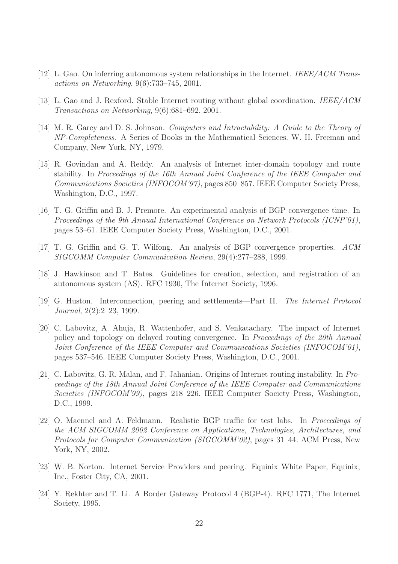- [12] L. Gao. On inferring autonomous system relationships in the Internet. IEEE/ACM Transactions on Networking, 9(6):733–745, 2001.
- [13] L. Gao and J. Rexford. Stable Internet routing without global coordination. IEEE/ACM Transactions on Networking, 9(6):681–692, 2001.
- [14] M. R. Garey and D. S. Johnson. Computers and Intractability: A Guide to the Theory of NP-Completeness. A Series of Books in the Mathematical Sciences. W. H. Freeman and Company, New York, NY, 1979.
- [15] R. Govindan and A. Reddy. An analysis of Internet inter-domain topology and route stability. In Proceedings of the 16th Annual Joint Conference of the IEEE Computer and Communications Societies (INFOCOM'97), pages 850–857. IEEE Computer Society Press, Washington, D.C., 1997.
- [16] T. G. Griffin and B. J. Premore. An experimental analysis of BGP convergence time. In Proceedings of the 9th Annual International Conference on Network Protocols (ICNP'01), pages 53–61. IEEE Computer Society Press, Washington, D.C., 2001.
- [17] T. G. Griffin and G. T. Wilfong. An analysis of BGP convergence properties. ACM SIGCOMM Computer Communication Review, 29(4):277–288, 1999.
- [18] J. Hawkinson and T. Bates. Guidelines for creation, selection, and registration of an autonomous system (AS). RFC 1930, The Internet Society, 1996.
- [19] G. Huston. Interconnection, peering and settlements—Part II. The Internet Protocol Journal, 2(2):2–23, 1999.
- [20] C. Labovitz, A. Ahuja, R. Wattenhofer, and S. Venkatachary. The impact of Internet policy and topology on delayed routing convergence. In Proceedings of the 20th Annual Joint Conference of the IEEE Computer and Communications Societies (INFOCOM'01), pages 537–546. IEEE Computer Society Press, Washington, D.C., 2001.
- [21] C. Labovitz, G. R. Malan, and F. Jahanian. Origins of Internet routing instability. In Proceedings of the 18th Annual Joint Conference of the IEEE Computer and Communications Societies (INFOCOM'99), pages 218–226. IEEE Computer Society Press, Washington, D.C., 1999.
- [22] O. Maennel and A. Feldmann. Realistic BGP traffic for test labs. In Proceedings of the ACM SIGCOMM 2002 Conference on Applications, Technologies, Architectures, and Protocols for Computer Communication (SIGCOMM'02), pages 31–44. ACM Press, New York, NY, 2002.
- [23] W. B. Norton. Internet Service Providers and peering. Equinix White Paper, Equinix, Inc., Foster City, CA, 2001.
- [24] Y. Rekhter and T. Li. A Border Gateway Protocol 4 (BGP-4). RFC 1771, The Internet Society, 1995.